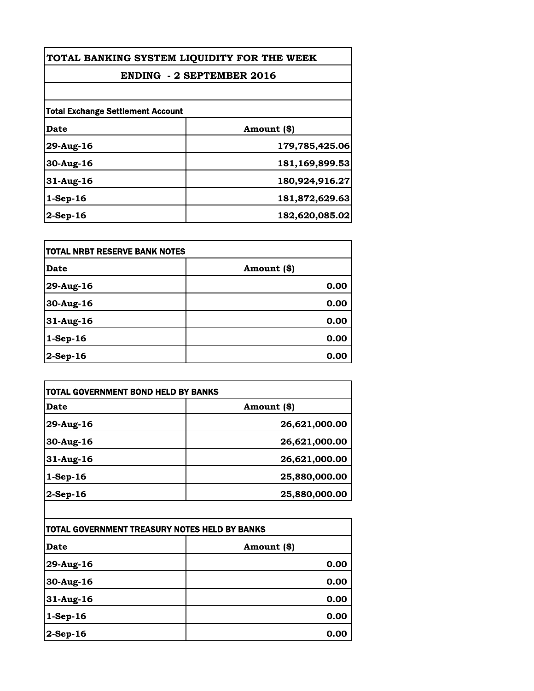| TOTAL BANKING SYSTEM LIQUIDITY FOR THE WEEK |                |
|---------------------------------------------|----------------|
| <b>ENDING - 2 SEPTEMBER 2016</b>            |                |
|                                             |                |
| <b>Total Exchange Settlement Account</b>    |                |
| Date                                        | Amount (\$)    |
| 29-Aug-16                                   | 179,785,425.06 |
| 30-Aug-16                                   | 181,169,899.53 |
| $31$ -Aug-16                                | 180,924,916.27 |
| $1-$ Sep $-16$                              | 181,872,629.63 |
| $2$ -Sep-16                                 | 182,620,085.02 |

| TOTAL NRBT RESERVE BANK NOTES |             |
|-------------------------------|-------------|
| Date                          | Amount (\$) |
| 29-Aug-16                     | 0.00        |
| 30-Aug-16                     | 0.00        |
| $31$ -Aug-16                  | 0.00        |
| $1-Sep-16$                    | 0.00        |
| $ 2$ -Sep-16                  | 0.00        |

| Date        | Amount (\$)   |
|-------------|---------------|
| 29-Aug-16   | 26,621,000.00 |
| 30-Aug-16   | 26,621,000.00 |
| 31-Aug-16   | 26,621,000.00 |
| $1-Sep-16$  | 25,880,000.00 |
| $2$ -Sep-16 | 25,880,000.00 |

| TOTAL GOVERNMENT TREASURY NOTES HELD BY BANKS |             |
|-----------------------------------------------|-------------|
| <b>Date</b>                                   | Amount (\$) |
| 29-Aug-16                                     | 0.00        |
| 30-Aug-16                                     | 0.00        |
| 31-Aug-16                                     | 0.00        |
| $1-Sep-16$                                    | 0.00        |
| $2$ -Sep-16                                   | 0.00        |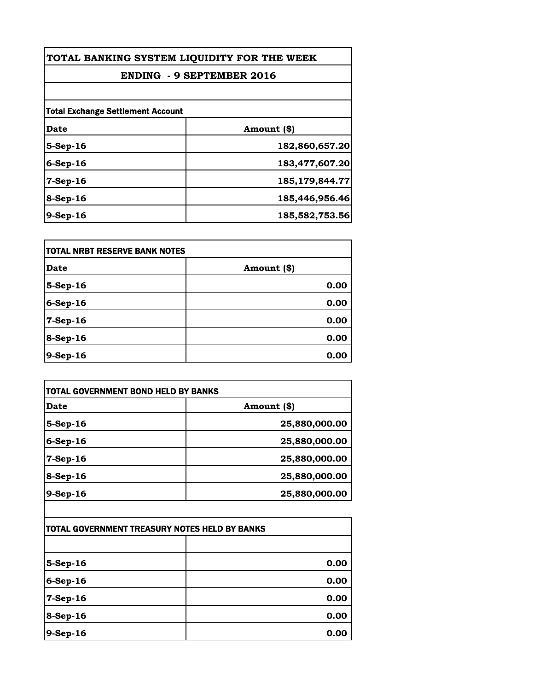| TOTAL BANKING SYSTEM LIQUIDITY FOR THE WEEK |                   |
|---------------------------------------------|-------------------|
| <b>ENDING - 9 SEPTEMBER 2016</b>            |                   |
|                                             |                   |
| <b>Total Exchange Settlement Account</b>    |                   |
| Date                                        | Amount (\$)       |
| 5-Sep-16                                    | 182,860,657.20    |
| $6-Sep-16$                                  | 183,477,607.20    |
| $7-Sep-16$                                  | 185, 179, 844. 77 |
| 8-Sep-16                                    | 185,446,956.46    |
| $9-Sep-16$                                  | 185,582,753.56    |

| <b>TOTAL NRBT RESERVE BANK NOTES</b> |             |
|--------------------------------------|-------------|
| <b>Date</b>                          | Amount (\$) |
| 5-Sep-16                             | 0.00        |
| $6-Sep-16$                           | 0.00        |
| 7-Sep-16                             | 0.00        |
| $8-Sep-16$                           | 0.00        |
| $9-Sep-16$                           | 0.00        |

| Date        | Amount (\$)   |
|-------------|---------------|
| $5-Step-16$ | 25,880,000.00 |
| $6-Sep-16$  | 25,880,000.00 |
| $7-Sep-16$  | 25,880,000.00 |
| $8-Sep-16$  | 25,880,000.00 |
| $9-Sep-16$  | 25,880,000.00 |

| TOTAL GOVERNMENT TREASURY NOTES HELD BY BANKS |      |
|-----------------------------------------------|------|
|                                               |      |
| $5-Step-16$                                   | 0.00 |
| $6-Sep-16$                                    | 0.00 |
| 7-Sep-16                                      | 0.00 |
| $8-Sep-16$                                    | 0.00 |
| $9-Sep-16$                                    | 0.00 |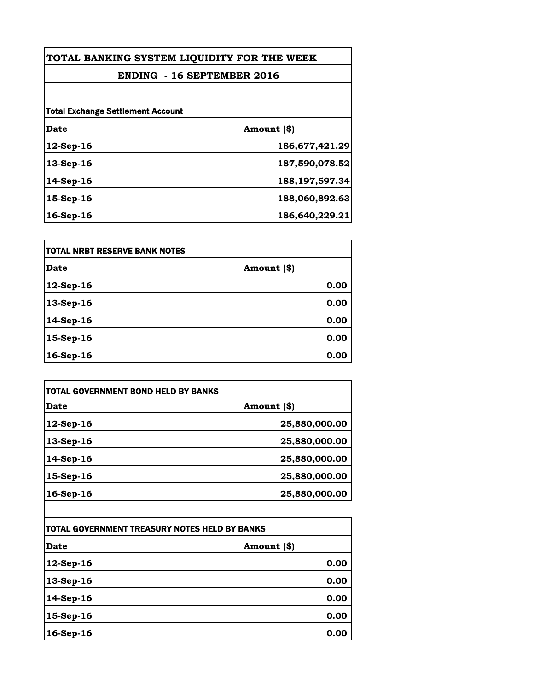| TOTAL BANKING SYSTEM LIQUIDITY FOR THE WEEK |                   |
|---------------------------------------------|-------------------|
| <b>ENDING - 16 SEPTEMBER 2016</b>           |                   |
|                                             |                   |
| <b>Total Exchange Settlement Account</b>    |                   |
| Date                                        | Amount (\$)       |
| $12$ -Sep-16                                | 186,677,421.29    |
| 13-Sep-16                                   | 187,590,078.52    |
| $14-Sep-16$                                 | 188, 197, 597. 34 |
| 15-Sep-16                                   | 188,060,892.63    |
| 16-Sep-16                                   | 186,640,229.21    |

| itotal NRBT RESERVE BANK NOTES |             |
|--------------------------------|-------------|
| Date                           | Amount (\$) |
| $12$ -Sep-16                   | 0.00        |
| 13-Sep-16                      | 0.00        |
| 14-Sep-16                      | 0.00        |
| 15-Sep-16                      | 0.00        |
| 16-Sep-16                      | 0.00        |

| Date         | Amount (\$)   |
|--------------|---------------|
| 12-Sep-16    | 25,880,000.00 |
| $13$ -Sep-16 | 25,880,000.00 |
| $14-Sep-16$  | 25,880,000.00 |
| 15-Sep-16    | 25,880,000.00 |
| $16$ -Sep-16 | 25,880,000.00 |

| TOTAL GOVERNMENT TREASURY NOTES HELD BY BANKS |             |
|-----------------------------------------------|-------------|
| <b>Date</b>                                   | Amount (\$) |
| 12-Sep-16                                     | 0.00        |
| 13-Sep-16                                     | 0.00        |
| $14-Sep-16$                                   | 0.00        |
| 15-Sep-16                                     | 0.00        |
| 16-Sep-16                                     | 0.00        |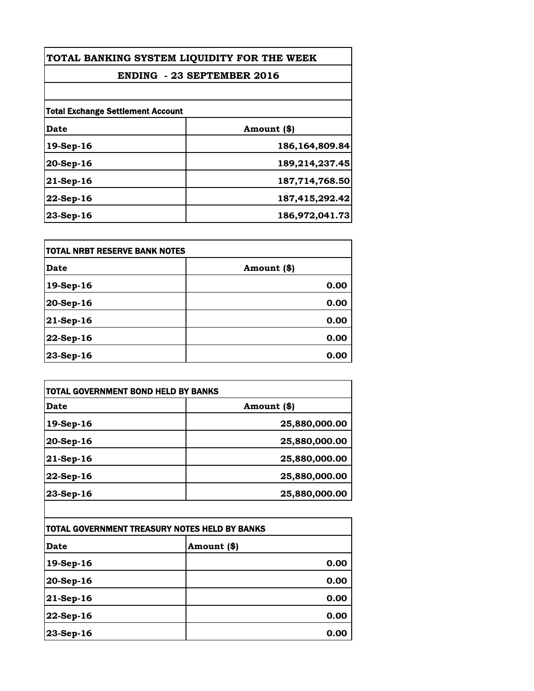| TOTAL BANKING SYSTEM LIQUIDITY FOR THE WEEK<br><b>ENDING - 23 SEPTEMBER 2016</b> |                   |
|----------------------------------------------------------------------------------|-------------------|
|                                                                                  |                   |
| <b>Total Exchange Settlement Account</b>                                         |                   |
| Date                                                                             | Amount (\$)       |
| $19-Sep-16$                                                                      | 186, 164, 809. 84 |
| $20-Step-16$                                                                     | 189,214,237.45    |
| $21$ -Sep-16                                                                     | 187,714,768.50    |
| $22-Sep-16$                                                                      | 187,415,292.42    |
| $23-Sep-16$                                                                      | 186,972,041.73    |

| itotal NRBT RESERVE BANK NOTES |             |
|--------------------------------|-------------|
| <b>Date</b>                    | Amount (\$) |
| 19-Sep-16                      | 0.00        |
| 20-Sep-16                      | 0.00        |
| $ 21-Sep-16$                   | 0.00        |
| 22-Sep-16                      | 0.00        |
| 23-Sep-16                      | 0.00        |

| Date         | Amount (\$)   |
|--------------|---------------|
| 19-Sep-16    | 25,880,000.00 |
| $20-Sep-16$  | 25,880,000.00 |
| $21$ -Sep-16 | 25,880,000.00 |
| 22-Sep-16    | 25,880,000.00 |
| 23-Sep-16    | 25,880,000.00 |

| ITOTAL GOVERNMENT TREASURY NOTES HELD BY BANKS |             |
|------------------------------------------------|-------------|
| <b>Date</b>                                    | Amount (\$) |
| 19-Sep-16                                      | 0.00        |
| $20$ -Sep-16                                   | 0.00        |
| $21$ -Sep-16                                   | 0.00        |
| 22-Sep-16                                      | 0.00        |
| $ 23-Sep-16$                                   | 0.00        |